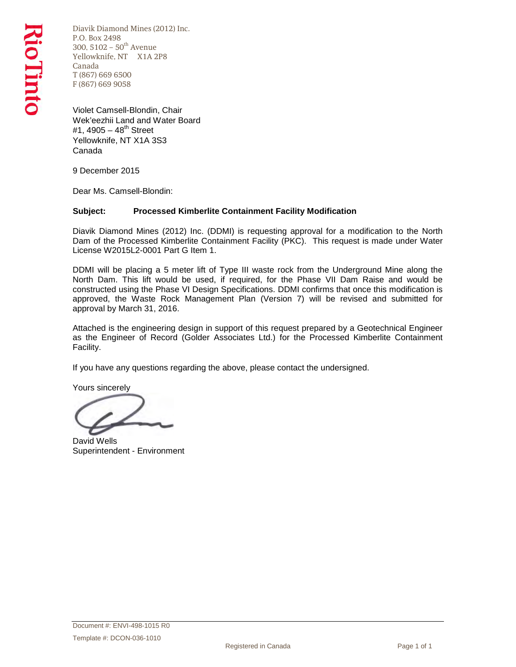Diavik Diamond Mines (2012) Inc. P.O. Box 2498 300, 5102 –  $50^{\text{th}}$  Avenue Yellowknife, NT X1A 2P8 Canada T (867) 669 6500 F (867) 669 9058

Violet Camsell-Blondin, Chair Wek'eezhii Land and Water Board #1, 4905 – 48<sup>th</sup> Street Yellowknife, NT X1A 3S3 Canada

9 December 2015

Dear Ms. Camsell-Blondin:

### **Subject: Processed Kimberlite Containment Facility Modification**

Diavik Diamond Mines (2012) Inc. (DDMI) is requesting approval for a modification to the North Dam of the Processed Kimberlite Containment Facility (PKC). This request is made under Water License W2015L2-0001 Part G Item 1.

DDMI will be placing a 5 meter lift of Type III waste rock from the Underground Mine along the North Dam. This lift would be used, if required, for the Phase VII Dam Raise and would be constructed using the Phase VI Design Specifications. DDMI confirms that once this modification is approved, the Waste Rock Management Plan (Version 7) will be revised and submitted for approval by March 31, 2016.

Attached is the engineering design in support of this request prepared by a Geotechnical Engineer as the Engineer of Record (Golder Associates Ltd.) for the Processed Kimberlite Containment Facility.

If you have any questions regarding the above, please contact the undersigned.

Yours sincerely

David Wells Superintendent - Environment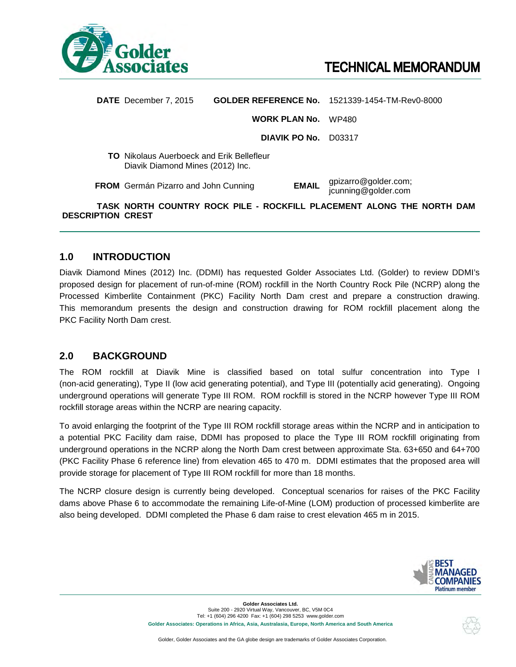

|                   | <b>DATE</b> December 7, 2015                                                         |                      |              | <b>GOLDER REFERENCE No. 1521339-1454-TM-Rev0-8000</b>                 |  |
|-------------------|--------------------------------------------------------------------------------------|----------------------|--------------|-----------------------------------------------------------------------|--|
|                   |                                                                                      | <b>WORK PLAN No.</b> |              | WP480                                                                 |  |
|                   |                                                                                      | DIAVIK PO No.        |              | D03317                                                                |  |
|                   | <b>TO</b> Nikolaus Auerboeck and Erik Bellefleur<br>Diavik Diamond Mines (2012) Inc. |                      |              |                                                                       |  |
|                   | <b>FROM</b> Germán Pizarro and John Cunning                                          |                      | <b>EMAIL</b> | gpizarro@golder.com;<br>jcunning@golder.com                           |  |
| DESCRIPTION CREST |                                                                                      |                      |              | TASK NORTH COUNTRY ROCK PILE - ROCKFILL PLACEMENT ALONG THE NORTH DAM |  |

### **1.0 INTRODUCTION**

Diavik Diamond Mines (2012) Inc. (DDMI) has requested Golder Associates Ltd. (Golder) to review DDMI's proposed design for placement of run-of-mine (ROM) rockfill in the North Country Rock Pile (NCRP) along the Processed Kimberlite Containment (PKC) Facility North Dam crest and prepare a construction drawing. This memorandum presents the design and construction drawing for ROM rockfill placement along the PKC Facility North Dam crest.

### **2.0 BACKGROUND**

The ROM rockfill at Diavik Mine is classified based on total sulfur concentration into Type I (non-acid generating), Type II (low acid generating potential), and Type III (potentially acid generating). Ongoing underground operations will generate Type III ROM. ROM rockfill is stored in the NCRP however Type III ROM rockfill storage areas within the NCRP are nearing capacity.

To avoid enlarging the footprint of the Type III ROM rockfill storage areas within the NCRP and in anticipation to a potential PKC Facility dam raise, DDMI has proposed to place the Type III ROM rockfill originating from underground operations in the NCRP along the North Dam crest between approximate Sta. 63+650 and 64+700 (PKC Facility Phase 6 reference line) from elevation 465 to 470 m. DDMI estimates that the proposed area will provide storage for placement of Type III ROM rockfill for more than 18 months.

The NCRP closure design is currently being developed. Conceptual scenarios for raises of the PKC Facility dams above Phase 6 to accommodate the remaining Life-of-Mine (LOM) production of processed kimberlite are also being developed. DDMI completed the Phase 6 dam raise to crest elevation 465 m in 2015.



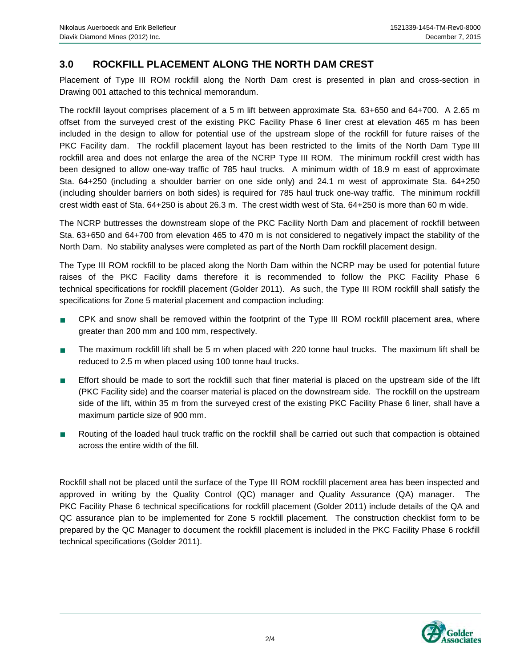## **3.0 ROCKFILL PLACEMENT ALONG THE NORTH DAM CREST**

Placement of Type III ROM rockfill along the North Dam crest is presented in plan and cross-section in Drawing 001 attached to this technical memorandum.

The rockfill layout comprises placement of a 5 m lift between approximate Sta. 63+650 and 64+700. A 2.65 m offset from the surveyed crest of the existing PKC Facility Phase 6 liner crest at elevation 465 m has been included in the design to allow for potential use of the upstream slope of the rockfill for future raises of the PKC Facility dam. The rockfill placement layout has been restricted to the limits of the North Dam Type III rockfill area and does not enlarge the area of the NCRP Type III ROM. The minimum rockfill crest width has been designed to allow one-way traffic of 785 haul trucks. A minimum width of 18.9 m east of approximate Sta. 64+250 (including a shoulder barrier on one side only) and 24.1 m west of approximate Sta. 64+250 (including shoulder barriers on both sides) is required for 785 haul truck one-way traffic. The minimum rockfill crest width east of Sta. 64+250 is about 26.3 m. The crest width west of Sta. 64+250 is more than 60 m wide.

The NCRP buttresses the downstream slope of the PKC Facility North Dam and placement of rockfill between Sta. 63+650 and 64+700 from elevation 465 to 470 m is not considered to negatively impact the stability of the North Dam. No stability analyses were completed as part of the North Dam rockfill placement design.

The Type III ROM rockfill to be placed along the North Dam within the NCRP may be used for potential future raises of the PKC Facility dams therefore it is recommended to follow the PKC Facility Phase 6 technical specifications for rockfill placement (Golder 2011). As such, the Type III ROM rockfill shall satisfy the specifications for Zone 5 material placement and compaction including:

- CPK and snow shall be removed within the footprint of the Type III ROM rockfill placement area, where greater than 200 mm and 100 mm, respectively.
- The maximum rockfill lift shall be 5 m when placed with 220 tonne haul trucks. The maximum lift shall be reduced to 2.5 m when placed using 100 tonne haul trucks.
- Effort should be made to sort the rockfill such that finer material is placed on the upstream side of the lift (PKC Facility side) and the coarser material is placed on the downstream side. The rockfill on the upstream side of the lift, within 35 m from the surveyed crest of the existing PKC Facility Phase 6 liner, shall have a maximum particle size of 900 mm.
- Routing of the loaded haul truck traffic on the rockfill shall be carried out such that compaction is obtained across the entire width of the fill.

Rockfill shall not be placed until the surface of the Type III ROM rockfill placement area has been inspected and approved in writing by the Quality Control (QC) manager and Quality Assurance (QA) manager. The PKC Facility Phase 6 technical specifications for rockfill placement (Golder 2011) include details of the QA and QC assurance plan to be implemented for Zone 5 rockfill placement. The construction checklist form to be prepared by the QC Manager to document the rockfill placement is included in the PKC Facility Phase 6 rockfill technical specifications (Golder 2011).

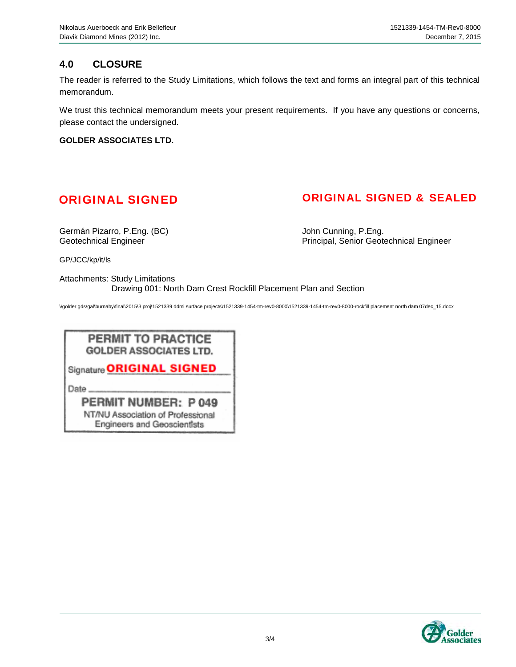## **4.0 CLOSURE**

The reader is referred to the Study Limitations, which follows the text and forms an integral part of this technical memorandum.

We trust this technical memorandum meets your present requirements. If you have any questions or concerns, please contact the undersigned.

**GOLDER ASSOCIATES LTD.**

# ORIGINAL SIGNED ORIGINAL SIGNED & SEALED

Germán Pizarro, P.Eng. (BC) dentitive de la controllation de la controllation de la controllation de la contro<br>Geotechnical Engineer de la controllation de la controllation de la controllation de la controllation de la co

Principal, Senior Geotechnical Engineer

GP/JCC/kp/it/ls

Attachments: Study Limitations Drawing 001: North Dam Crest Rockfill Placement Plan and Section

\\golder.gds\gal\burnaby\final\2015\3 proj\1521339 ddmi surface projects\1521339-1454-tm-rev0-8000\1521339-1454-tm-rev0-8000-rockfill placement north dam 07dec\_15.docx

### PERMIT TO PRACTICE **GOLDER ASSOCIATES LTD.**

Signature ORIGINAL SIGNED

Date.

PERMIT NUMBER: P 049 NT/NU Association of Professional **Engineers and Geoscientists** 

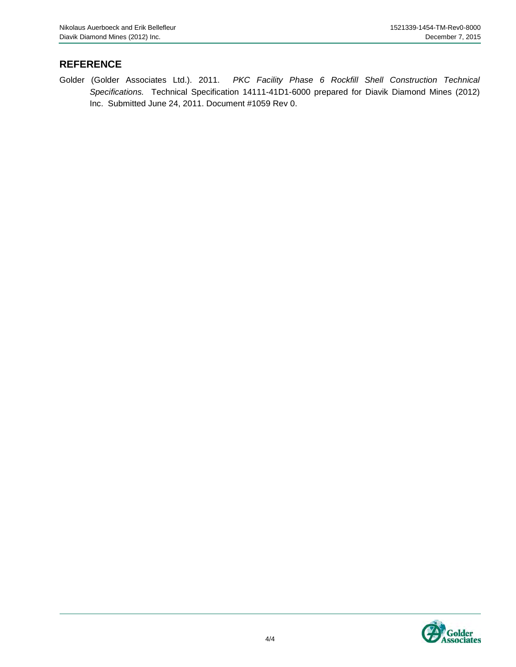## **REFERENCE**

Golder (Golder Associates Ltd.). 2011. *PKC Facility Phase 6 Rockfill Shell Construction Technical Specifications.* Technical Specification 14111-41D1-6000 prepared for Diavik Diamond Mines (2012) Inc. Submitted June 24, 2011. Document #1059 Rev 0.

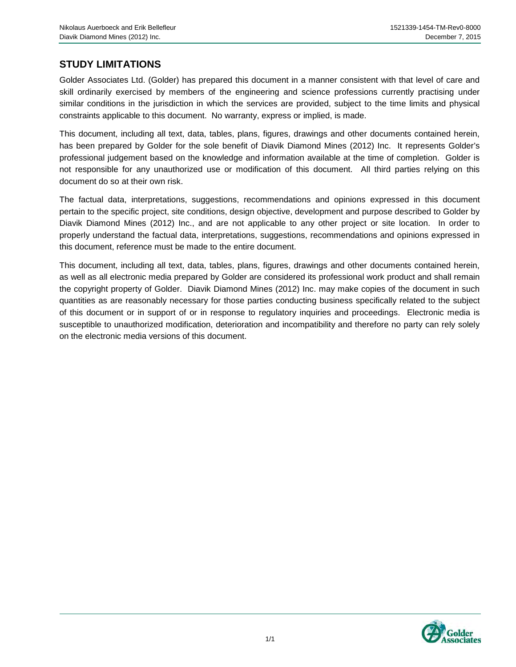### **STUDY LIMITATIONS**

Golder Associates Ltd. (Golder) has prepared this document in a manner consistent with that level of care and skill ordinarily exercised by members of the engineering and science professions currently practising under similar conditions in the jurisdiction in which the services are provided, subject to the time limits and physical constraints applicable to this document. No warranty, express or implied, is made.

This document, including all text, data, tables, plans, figures, drawings and other documents contained herein, has been prepared by Golder for the sole benefit of Diavik Diamond Mines (2012) Inc. It represents Golder's professional judgement based on the knowledge and information available at the time of completion. Golder is not responsible for any unauthorized use or modification of this document. All third parties relying on this document do so at their own risk.

The factual data, interpretations, suggestions, recommendations and opinions expressed in this document pertain to the specific project, site conditions, design objective, development and purpose described to Golder by Diavik Diamond Mines (2012) Inc., and are not applicable to any other project or site location. In order to properly understand the factual data, interpretations, suggestions, recommendations and opinions expressed in this document, reference must be made to the entire document.

This document, including all text, data, tables, plans, figures, drawings and other documents contained herein, as well as all electronic media prepared by Golder are considered its professional work product and shall remain the copyright property of Golder. Diavik Diamond Mines (2012) Inc. may make copies of the document in such quantities as are reasonably necessary for those parties conducting business specifically related to the subject of this document or in support of or in response to regulatory inquiries and proceedings. Electronic media is susceptible to unauthorized modification, deterioration and incompatibility and therefore no party can rely solely on the electronic media versions of this document.